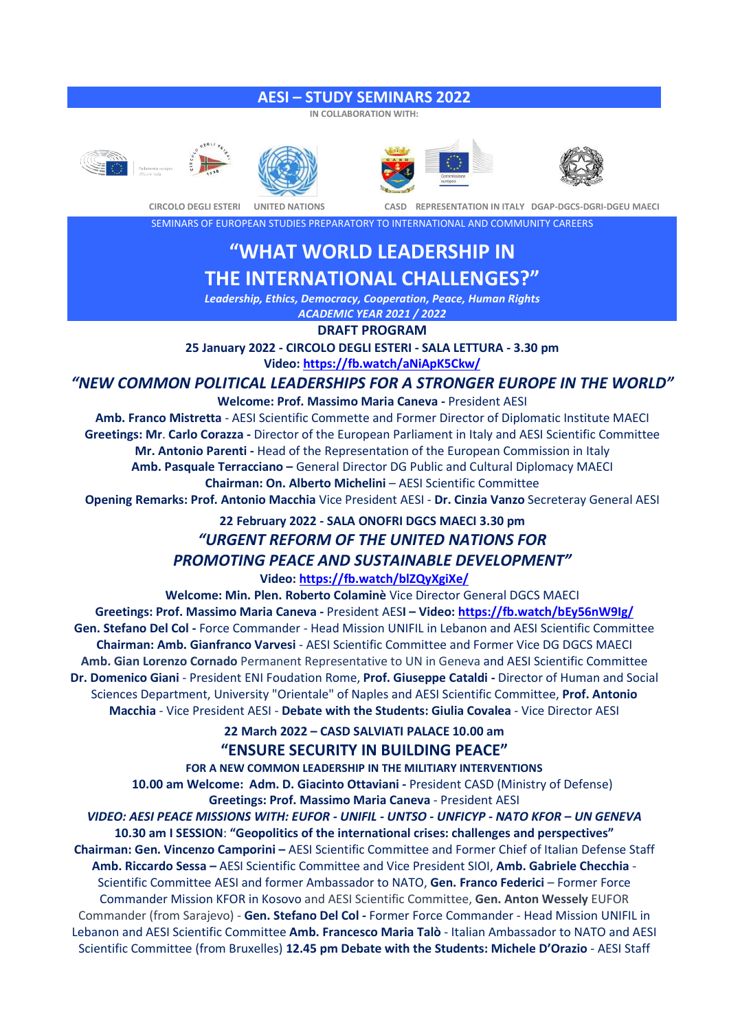#### AESI – STUDY SEMINARS 2022

IN COLLABORATION WITH:











 CIRCOLO DEGLI ESTERI UNITED NATIONS CASD REPRESENTATION IN ITALY DGAP-DGCS-DGRI-DGEU MAECI SEMINARS OF EUROPEAN STUDIES PREPARATORY TO INTERNATIONAL AND COMMUNITY CAREERS

# "WHAT WORLD LEADERSHIP IN

# THE INTERNATIONAL CHALLENGES?"

Leadership, Ethics, Democracy, Cooperation, Peace, Human Rights ACADEMIC YEAR 2021 / 2022

DRAFT PROGRAM

25 January 2022 - CIRCOLO DEGLI ESTERI - SALA LETTURA - 3.30 pm Video: https://fb.watch/aNiApK5Ckw/

## "NEW COMMON POLITICAL LEADERSHIPS FOR A STRONGER EUROPE IN THE WORLD"

## Welcome: Prof. Massimo Maria Caneva - President AESI

Amb. Franco Mistretta - AESI Scientific Commette and Former Director of Diplomatic Institute MAECI Greetings: Mr. Carlo Corazza - Director of the European Parliament in Italy and AESI Scientific Committee Mr. Antonio Parenti - Head of the Representation of the European Commission in Italy Amb. Pasquale Terracciano – General Director DG Public and Cultural Diplomacy MAECI Chairman: On. Alberto Michelini – AESI Scientific Committee

Opening Remarks: Prof. Antonio Macchia Vice President AESI - Dr. Cinzia Vanzo Secreteray General AESI

## 22 February 2022 - SALA ONOFRI DGCS MAECI 3.30 pm "URGENT REFORM OF THE UNITED NATIONS FOR PROMOTING PEACE AND SUSTAINABLE DEVELOPMENT"

Video: https://fb.watch/blZQyXgiXe/

Welcome: Min. Plen. Roberto Colaminè Vice Director General DGCS MAECI Greetings: Prof. Massimo Maria Caneva - President AESI – Video: https://fb.watch/bEy56nW9Ig/ Gen. Stefano Del Col - Force Commander - Head Mission UNIFIL in Lebanon and AESI Scientific Committee Chairman: Amb. Gianfranco Varvesi - AESI Scientific Committee and Former Vice DG DGCS MAECI Amb. Gian Lorenzo Cornado Permanent Representative to UN in Geneva and AESI Scientific Committee Dr. Domenico Giani - President ENI Foudation Rome, Prof. Giuseppe Cataldi - Director of Human and Social Sciences Department, University "Orientale" of Naples and AESI Scientific Committee, Prof. Antonio Macchia - Vice President AESI - Debate with the Students: Giulia Covalea - Vice Director AESI

> 22 March 2022 – CASD SALVIATI PALACE 10.00 am "ENSURE SECURITY IN BUILDING PEACE"

FOR A NEW COMMON LEADERSHIP IN THE MILITIARY INTERVENTIONS 10.00 am Welcome: Adm. D. Giacinto Ottaviani - President CASD (Ministry of Defense) Greetings: Prof. Massimo Maria Caneva - President AESI

VIDEO: AESI PEACE MISSIONS WITH: EUFOR - UNIFIL - UNTSO - UNFICYP - NATO KFOR – UN GENEVA 10.30 am I SESSION: "Geopolitics of the international crises: challenges and perspectives" Chairman: Gen. Vincenzo Camporini – AESI Scientific Committee and Former Chief of Italian Defense Staff Amb. Riccardo Sessa – AESI Scientific Committee and Vice President SIOI, Amb. Gabriele Checchia - Scientific Committee AESI and former Ambassador to NATO, Gen. Franco Federici – Former Force Commander Mission KFOR in Kosovo and AESI Scientific Committee, Gen. Anton Wessely EUFOR Commander (from Sarajevo) - Gen. Stefano Del Col - Former Force Commander - Head Mission UNIFIL in Lebanon and AESI Scientific Committee Amb. Francesco Maria Talò - Italian Ambassador to NATO and AESI Scientific Committee (from Bruxelles) 12.45 pm Debate with the Students: Michele D'Orazio - AESI Staff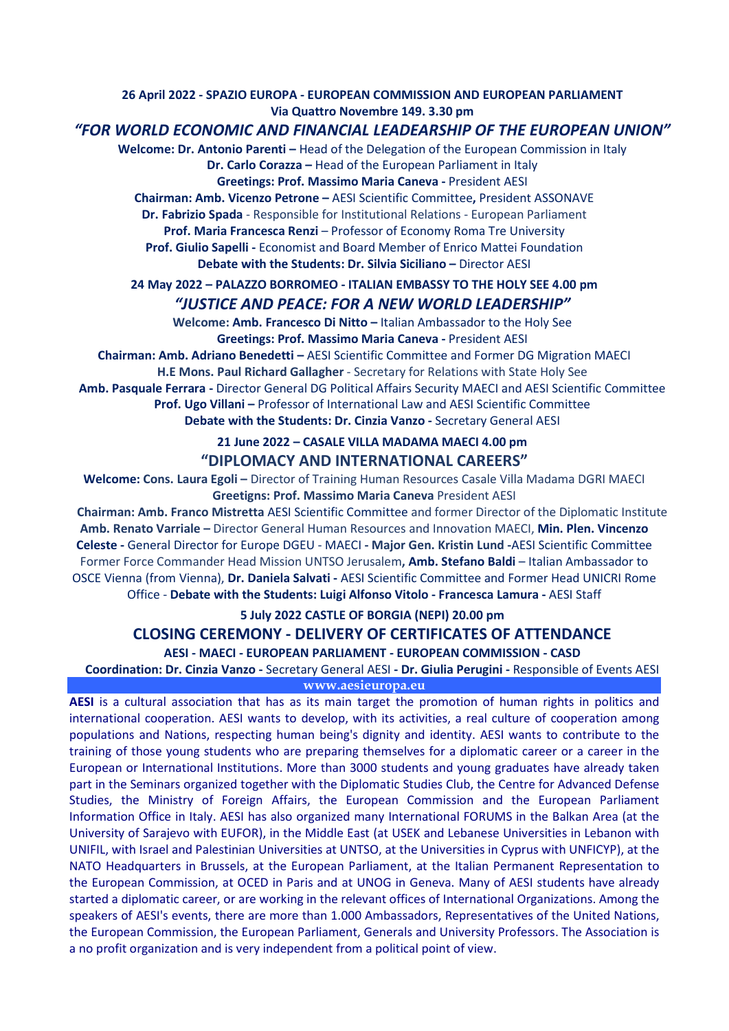#### 26 April 2022 - SPAZIO EUROPA - EUROPEAN COMMISSION AND EUROPEAN PARLIAMENT Via Quattro Novembre 149. 3.30 pm

### "FOR WORLD ECONOMIC AND FINANCIAL LEADEARSHIP OF THE EUROPEAN UNION"

Welcome: Dr. Antonio Parenti – Head of the Delegation of the European Commission in Italy Dr. Carlo Corazza – Head of the European Parliament in Italy

Greetings: Prof. Massimo Maria Caneva - President AESI Chairman: Amb. Vicenzo Petrone – AESI Scientific Committee, President ASSONAVE Dr. Fabrizio Spada - Responsible for Institutional Relations - European Parliament Prof. Maria Francesca Renzi - Professor of Economy Roma Tre University Prof. Giulio Sapelli - Economist and Board Member of Enrico Mattei Foundation Debate with the Students: Dr. Silvia Siciliano – Director AESI

24 May 2022 – PALAZZO BORROMEO - ITALIAN EMBASSY TO THE HOLY SEE 4.00 pm "JUSTICE AND PEACE: FOR A NEW WORLD LEADERSHIP"

Welcome: Amb. Francesco Di Nitto – Italian Ambassador to the Holy See Greetings: Prof. Massimo Maria Caneva - President AESI

Chairman: Amb. Adriano Benedetti – AESI Scientific Committee and Former DG Migration MAECI H.E Mons. Paul Richard Gallagher - Secretary for Relations with State Holy See Amb. Pasquale Ferrara - Director General DG Political Affairs Security MAECI and AESI Scientific Committee Prof. Ugo Villani – Professor of International Law and AESI Scientific Committee Debate with the Students: Dr. Cinzia Vanzo - Secretary General AESI

## 21 June 2022 – CASALE VILLA MADAMA MAECI 4.00 pm "DIPLOMACY AND INTERNATIONAL CAREERS"

Welcome: Cons. Laura Egoli – Director of Training Human Resources Casale Villa Madama DGRI MAECI Greetigns: Prof. Massimo Maria Caneva President AESI

Chairman: Amb. Franco Mistretta AESI Scientific Committee and former Director of the Diplomatic Institute Amb. Renato Varriale - Director General Human Resources and Innovation MAECI, Min. Plen. Vincenzo Celeste - General Director for Europe DGEU - MAECI - Major Gen. Kristin Lund -AESI Scientific Committee Former Force Commander Head Mission UNTSO Jerusalem, Amb. Stefano Baldi - Italian Ambassador to OSCE Vienna (from Vienna), Dr. Daniela Salvati - AESI Scientific Committee and Former Head UNICRI Rome Office - Debate with the Students: Luigi Alfonso Vitolo - Francesca Lamura - AESI Staff

### 5 July 2022 CASTLE OF BORGIA (NEPI) 20.00 pm CLOSING CEREMONY - DELIVERY OF CERTIFICATES OF ATTENDANCE AESI - MAECI - EUROPEAN PARLIAMENT - EUROPEAN COMMISSION - CASD

Coordination: Dr. Cinzia Vanzo - Secretary General AESI - Dr. Giulia Perugini - Responsible of Events AESI

www.aesieuropa.eu

AESI is a cultural association that has as its main target the promotion of human rights in politics and international cooperation. AESI wants to develop, with its activities, a real culture of cooperation among populations and Nations, respecting human being's dignity and identity. AESI wants to contribute to the training of those young students who are preparing themselves for a diplomatic career or a career in the European or International Institutions. More than 3000 students and young graduates have already taken part in the Seminars organized together with the Diplomatic Studies Club, the Centre for Advanced Defense Studies, the Ministry of Foreign Affairs, the European Commission and the European Parliament Information Office in Italy. AESI has also organized many International FORUMS in the Balkan Area (at the University of Sarajevo with EUFOR), in the Middle East (at USEK and Lebanese Universities in Lebanon with UNIFIL, with Israel and Palestinian Universities at UNTSO, at the Universities in Cyprus with UNFICYP), at the NATO Headquarters in Brussels, at the European Parliament, at the Italian Permanent Representation to the European Commission, at OCED in Paris and at UNOG in Geneva. Many of AESI students have already started a diplomatic career, or are working in the relevant offices of International Organizations. Among the speakers of AESI's events, there are more than 1.000 Ambassadors, Representatives of the United Nations, the European Commission, the European Parliament, Generals and University Professors. The Association is a no profit organization and is very independent from a political point of view.